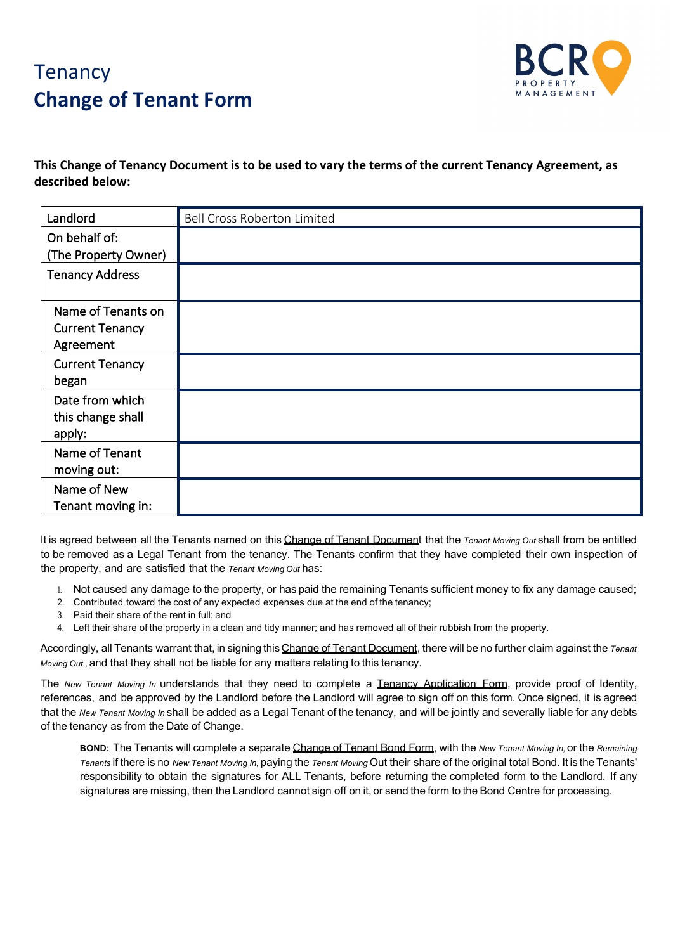## **Tenancy Change of Tenant Form**



**This Change of Tenancy Document is to be used to vary the terms of the current Tenancy Agreement, as described below:**

| Landlord               | <b>Bell Cross Roberton Limited</b> |
|------------------------|------------------------------------|
| On behalf of:          |                                    |
| (The Property Owner)   |                                    |
| <b>Tenancy Address</b> |                                    |
| Name of Tenants on     |                                    |
| <b>Current Tenancy</b> |                                    |
| Agreement              |                                    |
| <b>Current Tenancy</b> |                                    |
| began                  |                                    |
| Date from which        |                                    |
| this change shall      |                                    |
| apply:                 |                                    |
| Name of Tenant         |                                    |
| moving out:            |                                    |
| Name of New            |                                    |
| Tenant moving in:      |                                    |

It is agreed between all the Tenants named on this Change of Tenant Document that the *Tenant Moving Out* shall from be entitled to be removed as a Legal Tenant from the tenancy. The Tenants confirm that they have completed their own inspection of the property, and are satisfied that the *Tenant Moving Out* has:

- l. Not caused any damage to the property, or has paid the remaining Tenants sufficient money to fix any damage caused;
- 2. Contributed toward the cost of any expected expenses due at the end of the tenancy;
- 3. Paid their share of the rent in full; and
- 4. Left their share of the property in a clean and tidy manner; and has removed all of their rubbish from the property.

Accordingly, all Tenants warrant that, in signing thisChange of Tenant Document, there will be no further claim against the *Tenant Moving Out.,* and that they shall not be liable for any matters relating to this tenancy.

The *New Tenant Moving In* understands that they need to complete a Tenancy Application Form, provide proof of Identity, references, and be approved by the Landlord before the Landlord will agree to sign off on this form. Once signed, it is agreed that the *New Tenant Moving In* shall be added as a Legal Tenant of the tenancy, and will be jointly and severally liable for any debts of the tenancy as from the Date of Change.

**BOND:** The Tenants will complete a separate Change of Tenant Bond Form, with the *New Tenant Moving In,* or the *Remaining Tenants* if there is no *New Tenant Moving In,* paying the *Tenant Moving* Out their share of the original total Bond. It is the Tenants' responsibility to obtain the signatures for ALL Tenants, before returning the completed form to the Landlord. If any signatures are missing, then the Landlord cannot sign off on it, or send the form to the Bond Centre for processing.